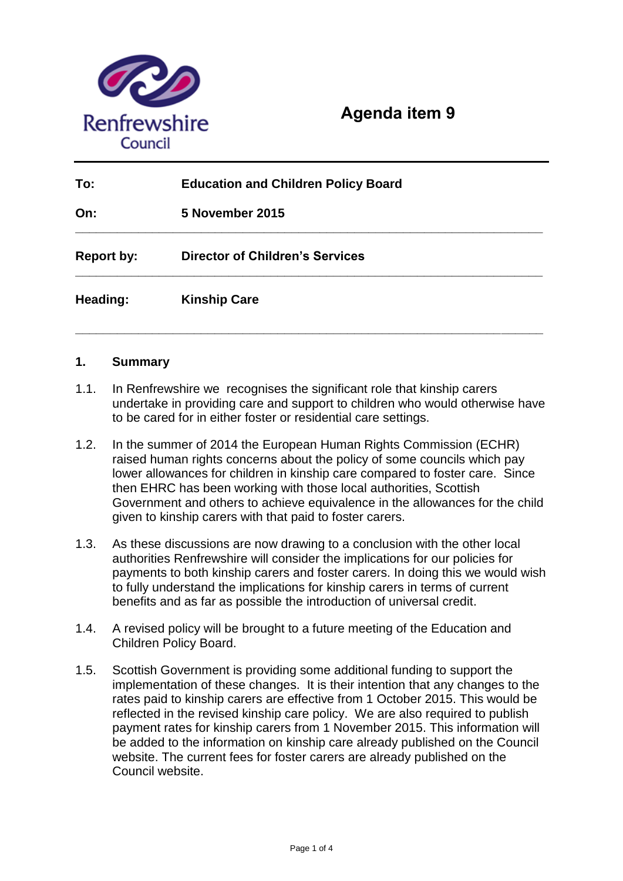

# **Agenda item 9**

| To:               | <b>Education and Children Policy Board</b> |
|-------------------|--------------------------------------------|
| On:               | 5 November 2015                            |
| <b>Report by:</b> | <b>Director of Children's Services</b>     |
| Heading:          | <b>Kinship Care</b>                        |

# **1. Summary**

- 1.1. In Renfrewshire we recognises the significant role that kinship carers undertake in providing care and support to children who would otherwise have to be cared for in either foster or residential care settings.
- 1.2. In the summer of 2014 the European Human Rights Commission (ECHR) raised human rights concerns about the policy of some councils which pay lower allowances for children in kinship care compared to foster care. Since then EHRC has been working with those local authorities, Scottish Government and others to achieve equivalence in the allowances for the child given to kinship carers with that paid to foster carers.
- 1.3. As these discussions are now drawing to a conclusion with the other local authorities Renfrewshire will consider the implications for our policies for payments to both kinship carers and foster carers. In doing this we would wish to fully understand the implications for kinship carers in terms of current benefits and as far as possible the introduction of universal credit.
- 1.4. A revised policy will be brought to a future meeting of the Education and Children Policy Board.
- 1.5. Scottish Government is providing some additional funding to support the implementation of these changes. It is their intention that any changes to the rates paid to kinship carers are effective from 1 October 2015. This would be reflected in the revised kinship care policy. We are also required to publish payment rates for kinship carers from 1 November 2015. This information will be added to the information on kinship care already published on the Council website. The current fees for foster carers are already published on the Council website.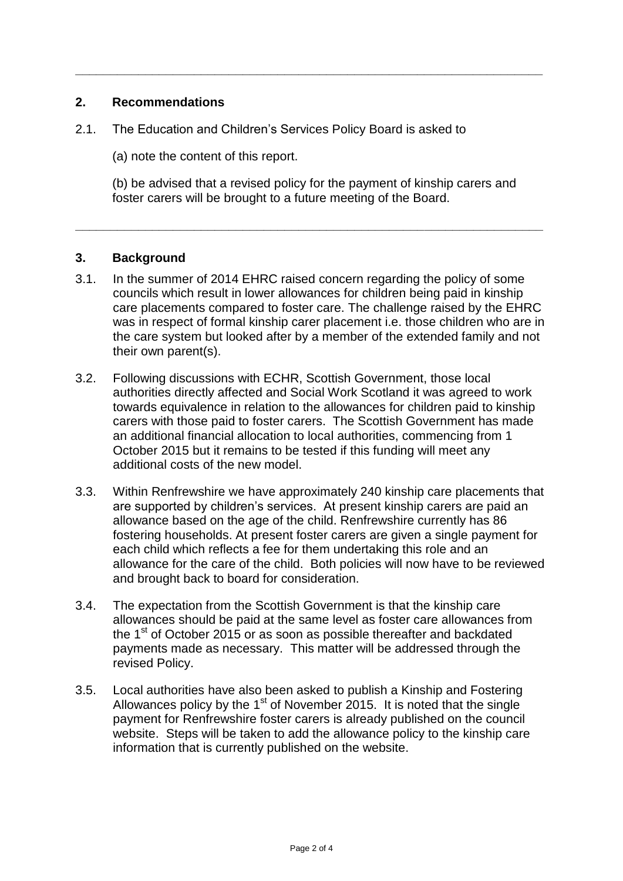# **2. Recommendations**

- 2.1. The Education and Children's Services Policy Board is asked to
	- (a) note the content of this report.

(b) be advised that a revised policy for the payment of kinship carers and foster carers will be brought to a future meeting of the Board.

**\_\_\_\_\_\_\_\_\_\_\_\_\_\_\_\_\_\_\_\_\_\_\_\_\_\_\_\_\_\_\_\_\_\_\_\_\_\_\_\_\_\_\_\_\_\_\_\_\_\_\_\_\_\_\_\_\_\_\_\_\_\_\_\_\_\_\_**

**\_\_\_\_\_\_\_\_\_\_\_\_\_\_\_\_\_\_\_\_\_\_\_\_\_\_\_\_\_\_\_\_\_\_\_\_\_\_\_\_\_\_\_\_\_\_\_\_\_\_\_\_\_\_\_\_\_\_\_\_\_\_\_\_\_\_\_**

# **3. Background**

- 3.1. In the summer of 2014 EHRC raised concern regarding the policy of some councils which result in lower allowances for children being paid in kinship care placements compared to foster care. The challenge raised by the EHRC was in respect of formal kinship carer placement i.e. those children who are in the care system but looked after by a member of the extended family and not their own parent(s).
- 3.2. Following discussions with ECHR, Scottish Government, those local authorities directly affected and Social Work Scotland it was agreed to work towards equivalence in relation to the allowances for children paid to kinship carers with those paid to foster carers. The Scottish Government has made an additional financial allocation to local authorities, commencing from 1 October 2015 but it remains to be tested if this funding will meet any additional costs of the new model.
- 3.3. Within Renfrewshire we have approximately 240 kinship care placements that are supported by children's services. At present kinship carers are paid an allowance based on the age of the child. Renfrewshire currently has 86 fostering households. At present foster carers are given a single payment for each child which reflects a fee for them undertaking this role and an allowance for the care of the child. Both policies will now have to be reviewed and brought back to board for consideration.
- 3.4. The expectation from the Scottish Government is that the kinship care allowances should be paid at the same level as foster care allowances from the 1<sup>st</sup> of October 2015 or as soon as possible thereafter and backdated payments made as necessary. This matter will be addressed through the revised Policy.
- 3.5. Local authorities have also been asked to publish a Kinship and Fostering Allowances policy by the 1<sup>st</sup> of November 2015. It is noted that the single payment for Renfrewshire foster carers is already published on the council website. Steps will be taken to add the allowance policy to the kinship care information that is currently published on the website.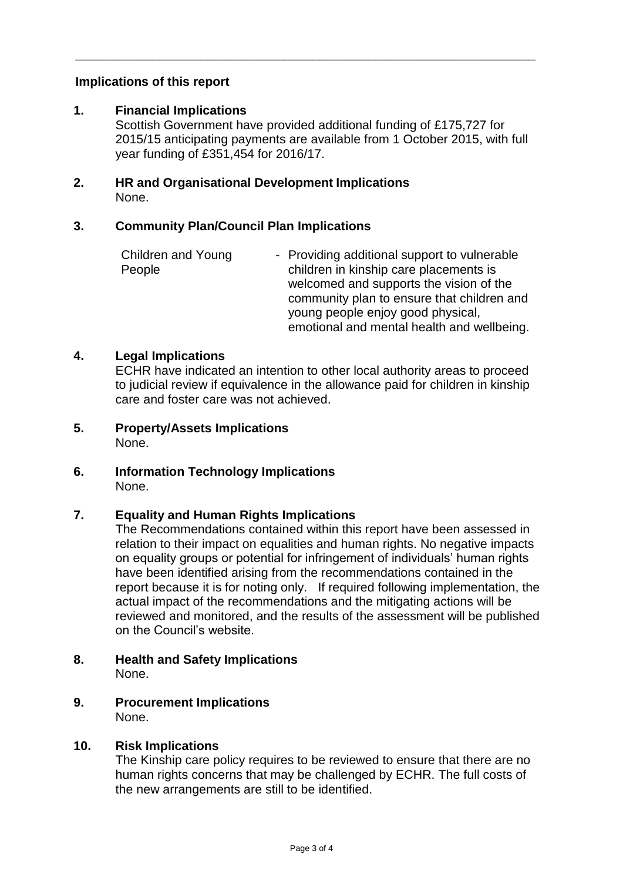# **Implications of this report**

## **1. Financial Implications**

Scottish Government have provided additional funding of £175,727 for 2015/15 anticipating payments are available from 1 October 2015, with full year funding of £351,454 for 2016/17.

**\_\_\_\_\_\_\_\_\_\_\_\_\_\_\_\_\_\_\_\_\_\_\_\_\_\_\_\_\_\_\_\_\_\_\_\_\_\_\_\_\_\_\_\_\_\_\_\_\_\_\_\_\_\_\_\_\_\_\_\_\_\_\_\_\_\_**

#### **2. HR and Organisational Development Implications**  None.

## **3. Community Plan/Council Plan Implications**

| Children and Young | - Providing additional support to vulnerable |
|--------------------|----------------------------------------------|
| People             | children in kinship care placements is       |
|                    | welcomed and supports the vision of the      |
|                    | community plan to ensure that children and   |
|                    | young people enjoy good physical,            |
|                    | emotional and mental health and wellbeing.   |

## **4. Legal Implications**

ECHR have indicated an intention to other local authority areas to proceed to judicial review if equivalence in the allowance paid for children in kinship care and foster care was not achieved.

- **5. Property/Assets Implications**  None.
- **6. Information Technology Implications**  None.

# **7. Equality and Human Rights Implications**

The Recommendations contained within this report have been assessed in relation to their impact on equalities and human rights. No negative impacts on equality groups or potential for infringement of individuals' human rights have been identified arising from the recommendations contained in the report because it is for noting only. If required following implementation, the actual impact of the recommendations and the mitigating actions will be reviewed and monitored, and the results of the assessment will be published on the Council's website.

- **8. Health and Safety Implications** None.
- **9. Procurement Implications** None.

#### **10. Risk Implications**

The Kinship care policy requires to be reviewed to ensure that there are no human rights concerns that may be challenged by ECHR. The full costs of the new arrangements are still to be identified.